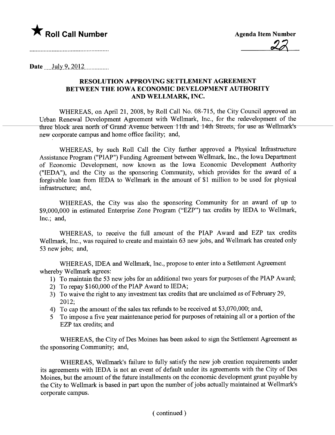

and the contract of the contract of the contract of the contract of the contract of the contract of the contract of

Date  $\text{July } 9, 2012$ 

## RESOLUTION APPROVING SETTLEMENT AGREEMENT BETWEEN THE IOWA ECONOMIC DEVELOPMENT AUTHORITY AND WELLMARK, INC.

WHEREAS, on April 21, 2008, by Roll Call No. 08-715, the City Council approved an Urban Renewal Development Agreement with Wellmark, Inc., for the redevelopment of the three block area north of Grand Avenue between 11th and 14th Streets, for use as Wellmark's new corporate campus and home office facility; and,

WHEREAS, by such Roll Call the City further approved a Physical Infrastructure Assistance Program ("pIAP") Funding Agreement between Wellmark, Inc., the Iowa Department of Economic Development, now known as the Iowa Economic Development Authority ("IEDA"), and the City as the sponsoring Community, which provides for the award of a forgivable loan from IEDA to Wellmark in the amount of \$1 million to be used for physical infrastructure; and,

WHEREAS, the City was also the sponsoring Community for an award of up to \$9,000,000 in estimated Enterprise Zone Program ("EZP") tax credits by IEDA to Wellmark, Inc.; and,

WHEREAS, to receive the full amount of the PIAP Award and EZP tax credits Wellmark, Inc., was required to create and maintain 63 new jobs, and Wellmark has created only 53 new jobs; and,

WHEREAS, IDEA and Wellmark, Inc., propose to enter into a Settlement Agreement whereby Wellmark agrees:

- 1) To maintain the 53 new jobs for an additional two years for purposes of the PIAP Award;
- 2) To repay \$160,000 of the PIAP Award to IEDA;
- 3) To waive the right to any investment tax credits that are unclaimed as of February 29, 2012;
- 4) To cap the amount of the sales tax refunds to be received at \$3,070,000; and,
- 5 To impose a five year maintenance period for purposes of retaining all or a portion of the EZP tax credits; and

WHEREAS, the City of Des Moines has been asked to sign the Settlement Agreement as the sponsoring Community; and,

WHEREAS, Wellmark's failure to fully satisfy the new job creation requirements under its agreements with IEDA is not an event of default under its agreements with the City of Des Moines, but the amount of the future installments on the economic development grant payable by the City to Wellmark is based in part upon the number of jobs actually maintained at Wellmark's corporate campus.